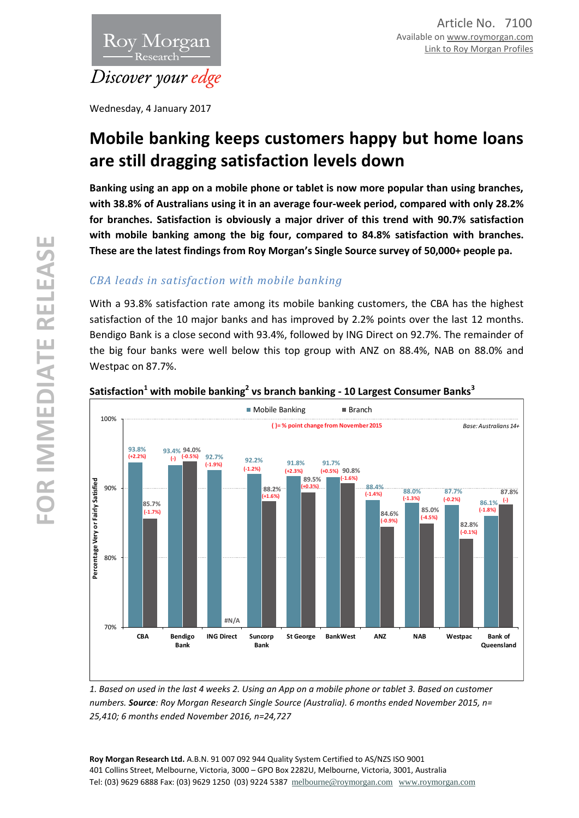

Wednesday, 4 January 2017

# **Mobile banking keeps customers happy but home loans are still dragging satisfaction levels down**

**Banking using an app on a mobile phone or tablet is now more popular than using branches, with 38.8% of Australians using it in an average four-week period, compared with only 28.2% for branches. Satisfaction is obviously a major driver of this trend with 90.7% satisfaction with mobile banking among the big four, compared to 84.8% satisfaction with branches. These are the latest findings from Roy Morgan's Single Source survey of 50,000+ people pa.**

# *CBA leads in satisfaction with mobile banking*

With a 93.8% satisfaction rate among its mobile banking customers, the CBA has the highest satisfaction of the 10 major banks and has improved by 2.2% points over the last 12 months. Bendigo Bank is a close second with 93.4%, followed by ING Direct on 92.7%. The remainder of the big four banks were well below this top group with ANZ on 88.4%, NAB on 88.0% and Westpac on 87.7%.



# **Satisfaction<sup>1</sup> with mobile banking<sup>2</sup> vs branch banking - 10 Largest Consumer Banks<sup>3</sup>**

*1. Based on used in the last 4 weeks 2. Using an App on a mobile phone or tablet 3. Based on customer numbers. Source: Roy Morgan Research Single Source (Australia). 6 months ended November 2015, n= 25,410; 6 months ended November 2016, n=24,727*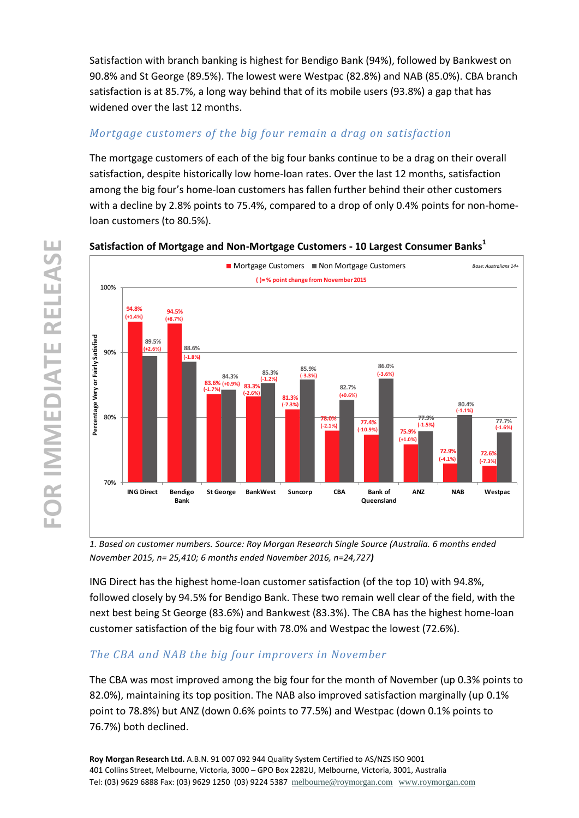Satisfaction with branch banking is highest for Bendigo Bank (94%), followed by Bankwest on 90.8% and St George (89.5%). The lowest were Westpac (82.8%) and NAB (85.0%). CBA branch satisfaction is at 85.7%, a long way behind that of its mobile users (93.8%) a gap that has widened over the last 12 months.

# *Mortgage customers of the big four remain a drag on satisfaction*

The mortgage customers of each of the big four banks continue to be a drag on their overall satisfaction, despite historically low home-loan rates. Over the last 12 months, satisfaction among the big four's home-loan customers has fallen further behind their other customers with a decline by 2.8% points to 75.4%, compared to a drop of only 0.4% points for non-homeloan customers (to 80.5%).

#### **94.8% 94.5% 83.6%** (+0.9%) 83.3% **81.3% (-7.3%) 78.0% 77.4% 75.9% 72.9% 72.6% 89.5% 88.6% 84.3% 85.3% 85.9% (-1.2%) 82.7% 86.0% 77.9% 80.4% 77.7% (-1.6%)**70% 80% 90% 100% **ING Direct Bendigo Bank St George BankWest Suncorp CBA Bank of Queensland ANZ EXERCISE SATISFIED SATISFIED SATISFIED SATISFIED SATISFIED SATISFIED SATISFIED SATISFIED SATISFIED SATISFIED SATISFIED SATISFIED SATISFIED SATISFIED SATISFIED SATISFIED SATISFIED SATISFIED SATISFIED SATISFIED SATISF** ■ Mortgage Customers ■ Non Mortgage Customers *Base: Australians 14+* **( )= % point change from November 2015 (+1.4%) (+2.6%) (+8.7%) (-1.8%) (-1.7%) (-2.6%) (-3.3%) (-2.1%) (+0.6%) (-10.9%) (-3.6%) (+1.0%) (-1.5%) (-4.1%) (-1.1%) (-7.3%)**

#### **Satisfaction of Mortgage and Non-Mortgage Customers - 10 Largest Consumer Banks<sup>1</sup>**

*1. Based on customer numbers. Source: Roy Morgan Research Single Source (Australia. 6 months ended November 2015, n= 25,410; 6 months ended November 2016, n=24,727)*

ING Direct has the highest home-loan customer satisfaction (of the top 10) with 94.8%, followed closely by 94.5% for Bendigo Bank. These two remain well clear of the field, with the next best being St George (83.6%) and Bankwest (83.3%). The CBA has the highest home-loan customer satisfaction of the big four with 78.0% and Westpac the lowest (72.6%).

# *The CBA and NAB the big four improvers in November*

The CBA was most improved among the big four for the month of November (up 0.3% points to 82.0%), maintaining its top position. The NAB also improved satisfaction marginally (up 0.1% point to 78.8%) but ANZ (down 0.6% points to 77.5%) and Westpac (down 0.1% points to 76.7%) both declined.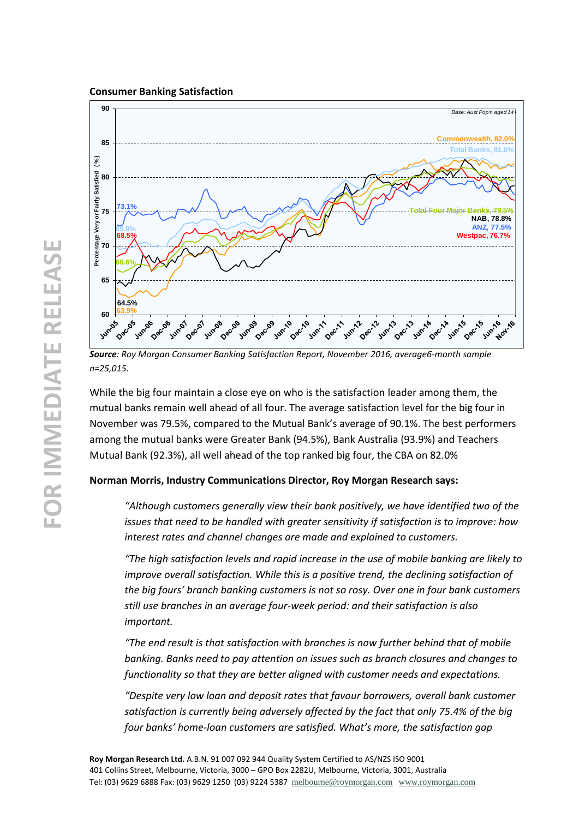

*Source: Roy Morgan Consumer Banking Satisfaction Report, November 2016, average6-month sample n=25,015.*

While the big four maintain a close eye on who is the satisfaction leader among them, the mutual banks remain well ahead of all four. The average satisfaction level for the big four in November was 79.5%, compared to the Mutual Bank's average of 90.1%. The best performers among the mutual banks were Greater Bank (94.5%), Bank Australia (93.9%) and Teachers Mutual Bank (92.3%), all well ahead of the top ranked big four, the CBA on 82.0%

### **Norman Morris, Industry Communications Director, Roy Morgan Research says:**

*"Although customers generally view their bank positively, we have identified two of the issues that need to be handled with greater sensitivity if satisfaction is to improve: how interest rates and channel changes are made and explained to customers.*

*"The high satisfaction levels and rapid increase in the use of mobile banking are likely to improve overall satisfaction. While this is a positive trend, the declining satisfaction of the big fours' branch banking customers is not so rosy. Over one in four bank customers still use branches in an average four-week period: and their satisfaction is also important.*

*"The end result is that satisfaction with branches is now further behind that of mobile banking. Banks need to pay attention on issues such as branch closures and changes to functionality so that they are better aligned with customer needs and expectations.*

*"Despite very low loan and deposit rates that favour borrowers, overall bank customer satisfaction is currently being adversely affected by the fact that only 75.4% of the big four banks' home-loan customers are satisfied. What's more, the satisfaction gap*